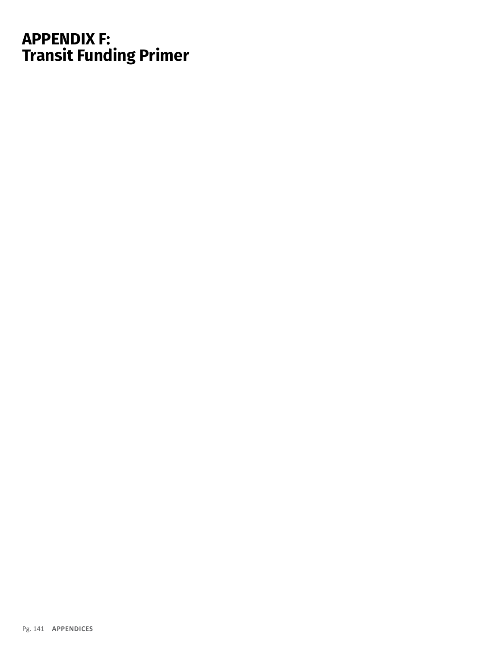## **APPENDIX F: Transit Funding Primer**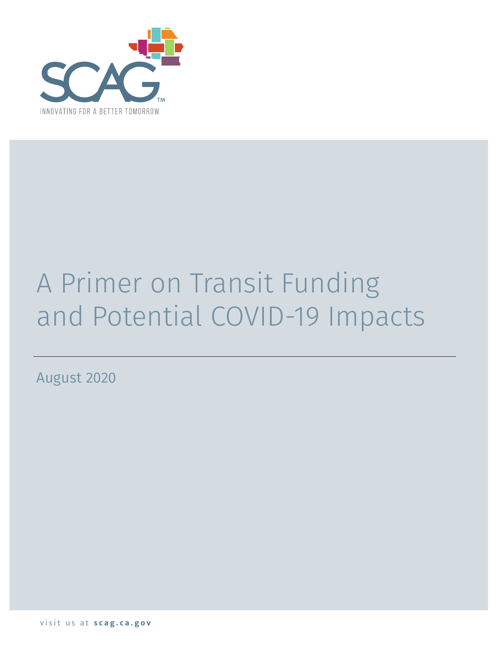

# A Primer on Transit Funding and Potential COVID-19 Impacts

August 2020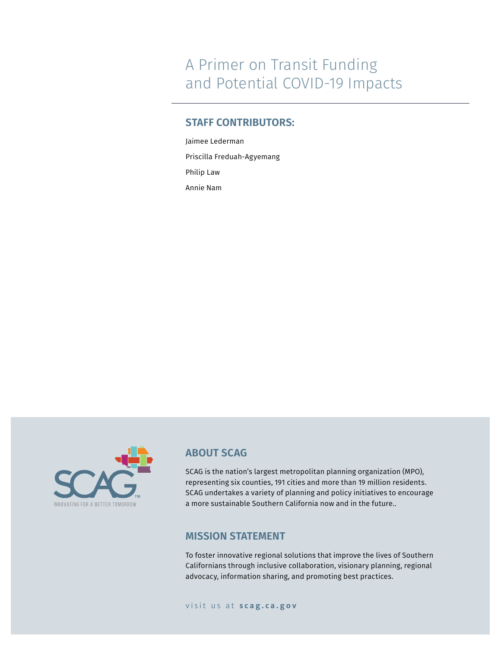## A Primer on Transit Funding and Potential COVID-19 Impacts

#### **STAFF CONTRIBUTORS:**

Jaimee Lederman Priscilla Freduah-Agyemang Philip Law Annie Nam



#### **ABOUT SCAG**

SCAG is the nation's largest metropolitan planning organization (MPO), representing six counties, 191 cities and more than 19 million residents. SCAG undertakes a variety of planning and policy initiatives to encourage a more sustainable Southern California now and in the future..

#### **MISSION STATEMENT**

To foster innovative regional solutions that improve the lives of Southern Californians through inclusive collaboration, visionary planning, regional advocacy, information sharing, and promoting best practices.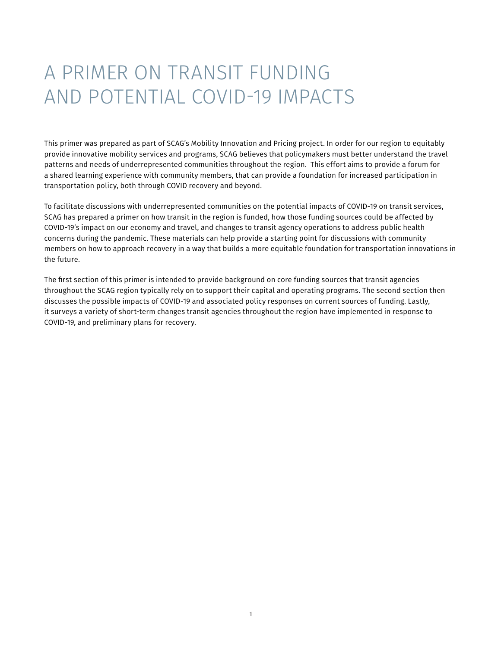# A PRIMER ON TRANSIT FUNDING AND POTENTIAL COVID-19 IMPACTS

This primer was prepared as part of SCAG's Mobility Innovation and Pricing project. In order for our region to equitably provide innovative mobility services and programs, SCAG believes that policymakers must better understand the travel patterns and needs of underrepresented communities throughout the region. This effort aims to provide a forum for a shared learning experience with community members, that can provide a foundation for increased participation in transportation policy, both through COVID recovery and beyond.

To facilitate discussions with underrepresented communities on the potential impacts of COVID-19 on transit services, SCAG has prepared a primer on how transit in the region is funded, how those funding sources could be affected by COVID-19's impact on our economy and travel, and changes to transit agency operations to address public health concerns during the pandemic. These materials can help provide a starting point for discussions with community members on how to approach recovery in a way that builds a more equitable foundation for transportation innovations in the future.

The first section of this primer is intended to provide background on core funding sources that transit agencies throughout the SCAG region typically rely on to support their capital and operating programs. The second section then discusses the possible impacts of COVID-19 and associated policy responses on current sources of funding. Lastly, it surveys a variety of short-term changes transit agencies throughout the region have implemented in response to COVID-19, and preliminary plans for recovery.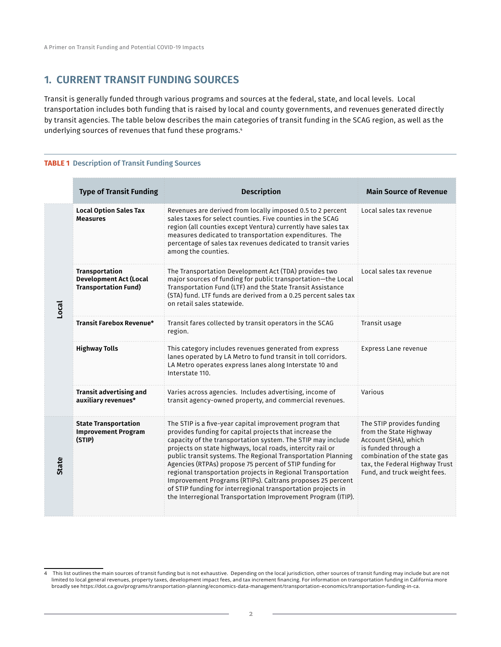#### **1. CURRENT TRANSIT FUNDING SOURCES**

Transit is generally funded through various programs and sources at the federal, state, and local levels. Local transportation includes both funding that is raised by local and county governments, and revenues generated directly by transit agencies. The table below describes the main categories of transit funding in the SCAG region, as well as the underlying sources of revenues that fund these programs.<sup>4</sup>

#### **TABLE 1** Description of Transit Funding Sources

|                                                                                                                                                                                                                                                                         | <b>Type of Transit Funding</b>                                                 | <b>Description</b>                                                                                                                                                                                                                                                                                                                                                                                                                                   | <b>Main Source of Revenue</b>                                                                                                                                                                        |
|-------------------------------------------------------------------------------------------------------------------------------------------------------------------------------------------------------------------------------------------------------------------------|--------------------------------------------------------------------------------|------------------------------------------------------------------------------------------------------------------------------------------------------------------------------------------------------------------------------------------------------------------------------------------------------------------------------------------------------------------------------------------------------------------------------------------------------|------------------------------------------------------------------------------------------------------------------------------------------------------------------------------------------------------|
| Local                                                                                                                                                                                                                                                                   | <b>Local Option Sales Tax</b><br><b>Measures</b>                               | Revenues are derived from locally imposed 0.5 to 2 percent<br>sales taxes for select counties. Five counties in the SCAG<br>region (all counties except Ventura) currently have sales tax<br>measures dedicated to transportation expenditures. The<br>percentage of sales tax revenues dedicated to transit varies<br>among the counties.                                                                                                           | Local sales tax revenue                                                                                                                                                                              |
|                                                                                                                                                                                                                                                                         | Transportation<br><b>Development Act (Local</b><br><b>Transportation Fund)</b> | The Transportation Development Act (TDA) provides two<br>major sources of funding for public transportation-the Local<br>Transportation Fund (LTF) and the State Transit Assistance<br>(STA) fund. LTF funds are derived from a 0.25 percent sales tax<br>on retail sales statewide.                                                                                                                                                                 | Local sales tax revenue                                                                                                                                                                              |
|                                                                                                                                                                                                                                                                         | <b>Transit Farebox Revenue*</b>                                                | Transit fares collected by transit operators in the SCAG<br>region.                                                                                                                                                                                                                                                                                                                                                                                  | Transit usage                                                                                                                                                                                        |
|                                                                                                                                                                                                                                                                         | <b>Highway Tolls</b>                                                           | This category includes revenues generated from express<br>lanes operated by LA Metro to fund transit in toll corridors.<br>LA Metro operates express lanes along Interstate 10 and<br>Interstate 110.                                                                                                                                                                                                                                                | <b>Express Lane revenue</b>                                                                                                                                                                          |
|                                                                                                                                                                                                                                                                         | Transit advertising and<br>auxiliary revenues*                                 | Varies across agencies. Includes advertising, income of<br>transit agency-owned property, and commercial revenues.                                                                                                                                                                                                                                                                                                                                   | Various                                                                                                                                                                                              |
| <b>State Transportation</b><br>provides funding for capital projects that increase the<br><b>Improvement Program</b><br>(STIP)<br>projects on state highways, local roads, intercity rail or<br><b>State</b><br>Agencies (RTPAs) propose 75 percent of STIP funding for |                                                                                | The STIP is a five-year capital improvement program that<br>capacity of the transportation system. The STIP may include<br>public transit systems. The Regional Transportation Planning<br>regional transportation projects in Regional Transportation<br>Improvement Programs (RTIPs). Caltrans proposes 25 percent<br>of STIP funding for interregional transportation projects in<br>the Interregional Transportation Improvement Program (ITIP). | The STIP provides funding<br>from the State Highway<br>Account (SHA), which<br>is funded through a<br>combination of the state gas<br>tax, the Federal Highway Trust<br>Fund, and truck weight fees. |
|                                                                                                                                                                                                                                                                         |                                                                                |                                                                                                                                                                                                                                                                                                                                                                                                                                                      |                                                                                                                                                                                                      |

<sup>4</sup> This list outlines the main sources of transit funding but is not exhaustive. Depending on the local jurisdiction, other sources of transit funding may include but are not limited to local general revenues, property taxes, development impact fees, and tax increment financing. For information on transportation funding in California more broadly see https://dot.ca.gov/programs/transportation-planning/economics-data-management/transportation-economics/transportation-funding-in-ca.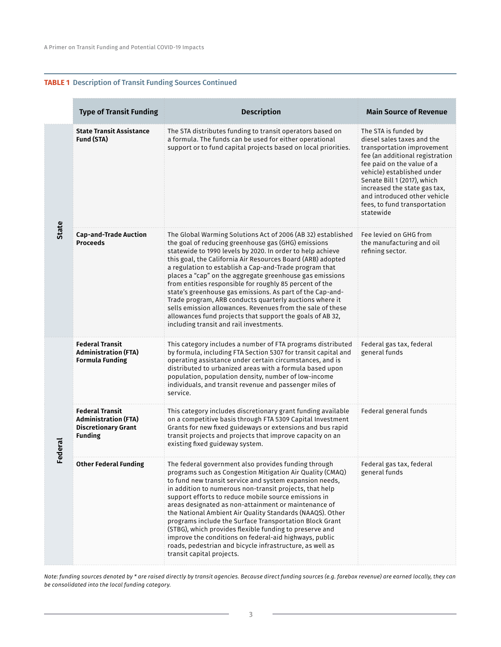#### **TABLE 1** Description of Transit Funding Sources Continued

|              | <b>Type of Transit Funding</b>                                                                        | <b>Description</b>                                                                                                                                                                                                                                                                                                                                                                                                                                                                                                                                                                                                                                                                                                              | <b>Main Source of Revenue</b>                                                                                                                                                                                                                                                                                               |
|--------------|-------------------------------------------------------------------------------------------------------|---------------------------------------------------------------------------------------------------------------------------------------------------------------------------------------------------------------------------------------------------------------------------------------------------------------------------------------------------------------------------------------------------------------------------------------------------------------------------------------------------------------------------------------------------------------------------------------------------------------------------------------------------------------------------------------------------------------------------------|-----------------------------------------------------------------------------------------------------------------------------------------------------------------------------------------------------------------------------------------------------------------------------------------------------------------------------|
| <b>State</b> | <b>State Transit Assistance</b><br>Fund (STA)                                                         | The STA distributes funding to transit operators based on<br>a formula. The funds can be used for either operational<br>support or to fund capital projects based on local priorities.                                                                                                                                                                                                                                                                                                                                                                                                                                                                                                                                          | The STA is funded by<br>diesel sales taxes and the<br>transportation improvement<br>fee (an additional registration<br>fee paid on the value of a<br>vehicle) established under<br>Senate Bill 1 (2017), which<br>increased the state gas tax,<br>and introduced other vehicle<br>fees, to fund transportation<br>statewide |
|              | <b>Cap-and-Trade Auction</b><br><b>Proceeds</b>                                                       | The Global Warming Solutions Act of 2006 (AB 32) established<br>the goal of reducing greenhouse gas (GHG) emissions<br>statewide to 1990 levels by 2020. In order to help achieve<br>this goal, the California Air Resources Board (ARB) adopted<br>a regulation to establish a Cap-and-Trade program that<br>places a "cap" on the aggregate greenhouse gas emissions<br>from entities responsible for roughly 85 percent of the<br>state's greenhouse gas emissions. As part of the Cap-and-<br>Trade program, ARB conducts quarterly auctions where it<br>sells emission allowances. Revenues from the sale of these<br>allowances fund projects that support the goals of AB 32,<br>including transit and rail investments. | Fee levied on GHG from<br>the manufacturing and oil<br>refining sector.                                                                                                                                                                                                                                                     |
| Federal      | <b>Federal Transit</b><br><b>Administration (FTA)</b><br><b>Formula Funding</b>                       | This category includes a number of FTA programs distributed<br>by formula, including FTA Section 5307 for transit capital and<br>operating assistance under certain circumstances, and is<br>distributed to urbanized areas with a formula based upon<br>population, population density, number of low-income<br>individuals, and transit revenue and passenger miles of<br>service.                                                                                                                                                                                                                                                                                                                                            | Federal gas tax, federal<br>general funds                                                                                                                                                                                                                                                                                   |
|              | <b>Federal Transit</b><br><b>Administration (FTA)</b><br><b>Discretionary Grant</b><br><b>Funding</b> | This category includes discretionary grant funding available<br>on a competitive basis through FTA 5309 Capital Investment<br>Grants for new fixed guideways or extensions and bus rapid<br>transit projects and projects that improve capacity on an<br>existing fixed guideway system.                                                                                                                                                                                                                                                                                                                                                                                                                                        | Federal general funds                                                                                                                                                                                                                                                                                                       |
|              | <b>Other Federal Funding</b>                                                                          | The federal government also provides funding through<br>programs such as Congestion Mitigation Air Quality (CMAQ)<br>to fund new transit service and system expansion needs,<br>in addition to numerous non-transit projects, that help<br>support efforts to reduce mobile source emissions in<br>areas designated as non-attainment or maintenance of<br>the National Ambient Air Quality Standards (NAAQS). Other<br>programs include the Surface Transportation Block Grant<br>(STBG), which provides flexible funding to preserve and<br>improve the conditions on federal-aid highways, public<br>roads, pedestrian and bicycle infrastructure, as well as<br>transit capital projects.                                   | Federal gas tax. federal<br>general funds                                                                                                                                                                                                                                                                                   |

*Note: funding sources denoted by \* are raised directly by transit agencies. Because direct funding sources (e.g. farebox revenue) are earned locally, they can be consolidated into the local funding category.*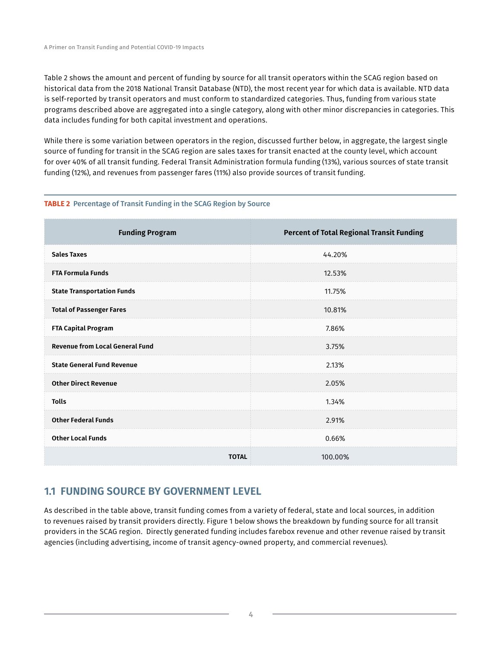Table 2 shows the amount and percent of funding by source for all transit operators within the SCAG region based on historical data from the 2018 National Transit Database (NTD), the most recent year for which data is available. NTD data is self-reported by transit operators and must conform to standardized categories. Thus, funding from various state programs described above are aggregated into a single category, along with other minor discrepancies in categories. This data includes funding for both capital investment and operations.

While there is some variation between operators in the region, discussed further below, in aggregate, the largest single source of funding for transit in the SCAG region are sales taxes for transit enacted at the county level, which account for over 40% of all transit funding. Federal Transit Administration formula funding (13%), various sources of state transit funding (12%), and revenues from passenger fares (11%) also provide sources of transit funding.

#### **TABLE 2** Percentage of Transit Funding in the SCAG Region by Source

| <b>Funding Program</b>                 | <b>Percent of Total Regional Transit Funding</b> |  |
|----------------------------------------|--------------------------------------------------|--|
| <b>Sales Taxes</b>                     | 44.20%                                           |  |
| <b>FTA Formula Funds</b>               | 12.53%                                           |  |
| <b>State Transportation Funds</b>      | 11.75%                                           |  |
| <b>Total of Passenger Fares</b>        | 10.81%                                           |  |
| <b>FTA Capital Program</b>             | 7.86%                                            |  |
| <b>Revenue from Local General Fund</b> | 3.75%                                            |  |
| <b>State General Fund Revenue</b>      | 2.13%                                            |  |
| <b>Other Direct Revenue</b>            | 2.05%                                            |  |
| <b>Tolls</b>                           | 1.34%                                            |  |
| <b>Other Federal Funds</b>             | 2.91%                                            |  |
| <b>Other Local Funds</b>               | 0.66%                                            |  |
| <b>TOTAL</b>                           | 100.00%                                          |  |

#### **1.1 FUNDING SOURCE BY GOVERNMENT LEVEL**

As described in the table above, transit funding comes from a variety of federal, state and local sources, in addition to revenues raised by transit providers directly. Figure 1 below shows the breakdown by funding source for all transit providers in the SCAG region. Directly generated funding includes farebox revenue and other revenue raised by transit agencies (including advertising, income of transit agency-owned property, and commercial revenues).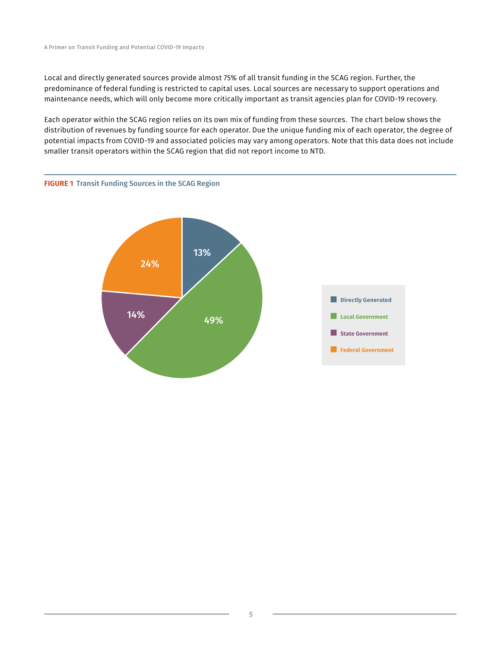Local and directly generated sources provide almost 75% of all transit funding in the SCAG region. Further, the predominance of federal funding is restricted to capital uses. Local sources are necessary to support operations and maintenance needs, which will only become more critically important as transit agencies plan for COVID-19 recovery.

Each operator within the SCAG region relies on its own mix of funding from these sources. The chart below shows the distribution of revenues by funding source for each operator. Due the unique funding mix of each operator, the degree of potential impacts from COVID-19 and associated policies may vary among operators. Note that this data does not include smaller transit operators within the SCAG region that did not report income to NTD.



#### **FIGURE 1** Transit Funding Sources in the SCAG Region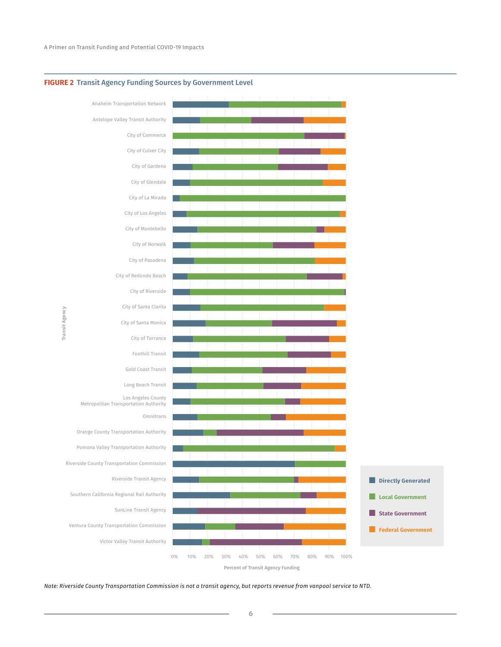

#### **FIGURE 2** Transit Agency Funding Sources by Government Level

*Note: Riverside County Transportation Commission is not a transit agency, but reports revenue from vanpool service to NTD.*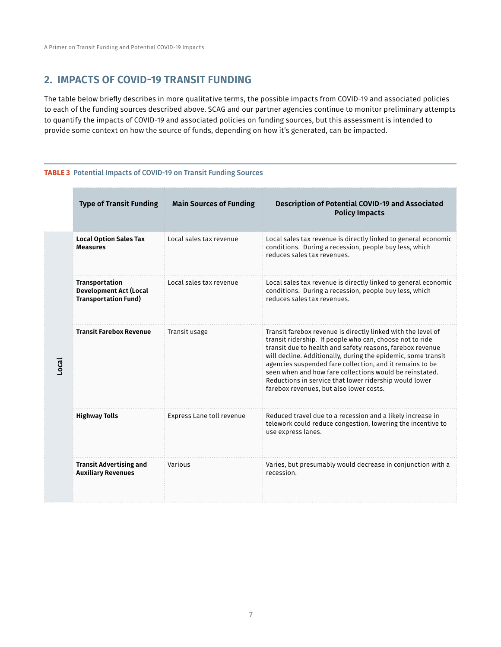#### **2. IMPACTS OF COVID-19 TRANSIT FUNDING**

The table below briefly describes in more qualitative terms, the possible impacts from COVID-19 and associated policies to each of the funding sources described above. SCAG and our partner agencies continue to monitor preliminary attempts to quantify the impacts of COVID-19 and associated policies on funding sources, but this assessment is intended to provide some context on how the source of funds, depending on how it's generated, can be impacted.

#### **TABLE 3** Potential Impacts of COVID-19 on Transit Funding Sources

|  | <b>Type of Transit Funding</b>                                                 | <b>Main Sources of Funding</b> | <b>Description of Potential COVID-19 and Associated</b><br><b>Policy Impacts</b>                                                                                                                                                                                                                                                                                                                                                                                                   |
|--|--------------------------------------------------------------------------------|--------------------------------|------------------------------------------------------------------------------------------------------------------------------------------------------------------------------------------------------------------------------------------------------------------------------------------------------------------------------------------------------------------------------------------------------------------------------------------------------------------------------------|
|  | <b>Local Option Sales Tax</b><br><b>Measures</b>                               | Local sales tax revenue        | Local sales tax revenue is directly linked to general economic<br>conditions. During a recession, people buy less, which<br>reduces sales tax revenues.                                                                                                                                                                                                                                                                                                                            |
|  | Transportation<br><b>Development Act (Local</b><br><b>Transportation Fund)</b> | Local sales tax revenue        | Local sales tax revenue is directly linked to general economic<br>conditions. During a recession, people buy less, which<br>reduces sales tax revenues.                                                                                                                                                                                                                                                                                                                            |
|  | <b>Transit Farebox Revenue</b>                                                 | Transit usage                  | Transit farebox revenue is directly linked with the level of<br>transit ridership. If people who can, choose not to ride<br>transit due to health and safety reasons, farebox revenue<br>will decline. Additionally, during the epidemic, some transit<br>agencies suspended fare collection, and it remains to be<br>seen when and how fare collections would be reinstated.<br>Reductions in service that lower ridership would lower<br>farebox revenues, but also lower costs. |
|  | <b>Highway Tolls</b>                                                           | Express Lane toll revenue      | Reduced travel due to a recession and a likely increase in<br>telework could reduce congestion, lowering the incentive to<br>use express lanes.                                                                                                                                                                                                                                                                                                                                    |
|  | <b>Transit Advertising and</b><br><b>Auxiliary Revenues</b>                    | Various                        | Varies, but presumably would decrease in conjunction with a<br>recession.                                                                                                                                                                                                                                                                                                                                                                                                          |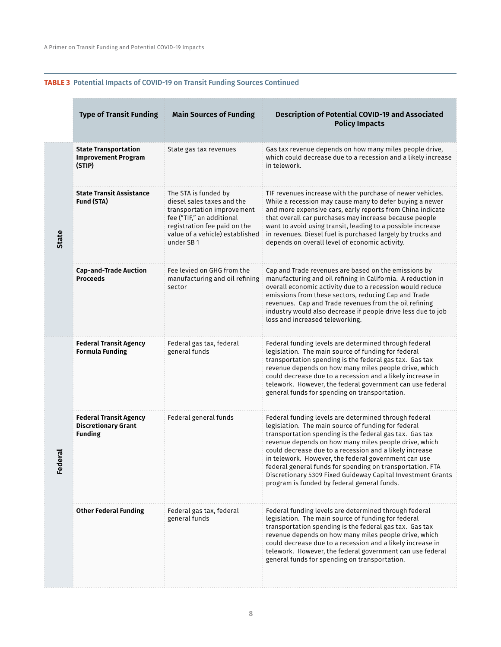#### **TABLE 3** Potential Impacts of COVID-19 on Transit Funding Sources Continued

|              | <b>Type of Transit Funding</b>                                                | <b>Main Sources of Funding</b>                                                                                                                                                                | Description of Potential COVID-19 and Associated<br><b>Policy Impacts</b>                                                                                                                                                                                                                                                                                                                                                                                                                                                      |
|--------------|-------------------------------------------------------------------------------|-----------------------------------------------------------------------------------------------------------------------------------------------------------------------------------------------|--------------------------------------------------------------------------------------------------------------------------------------------------------------------------------------------------------------------------------------------------------------------------------------------------------------------------------------------------------------------------------------------------------------------------------------------------------------------------------------------------------------------------------|
| <b>State</b> | <b>State Transportation</b><br><b>Improvement Program</b><br>(STIP)           | State gas tax revenues                                                                                                                                                                        | Gas tax revenue depends on how many miles people drive,<br>which could decrease due to a recession and a likely increase<br>in telework.                                                                                                                                                                                                                                                                                                                                                                                       |
|              | <b>State Transit Assistance</b><br>Fund (STA)                                 | The STA is funded by<br>diesel sales taxes and the<br>transportation improvement<br>fee ("TIF," an additional<br>registration fee paid on the<br>value of a vehicle) established<br>under SB1 | TIF revenues increase with the purchase of newer vehicles.<br>While a recession may cause many to defer buying a newer<br>and more expensive cars, early reports from China indicate<br>that overall car purchases may increase because people<br>want to avoid using transit, leading to a possible increase<br>in revenues. Diesel fuel is purchased largely by trucks and<br>depends on overall level of economic activity.                                                                                                 |
|              | <b>Cap-and-Trade Auction</b><br><b>Proceeds</b>                               | Fee levied on GHG from the<br>manufacturing and oil refining<br>sector                                                                                                                        | Cap and Trade revenues are based on the emissions by<br>manufacturing and oil refining in California. A reduction in<br>overall economic activity due to a recession would reduce<br>emissions from these sectors, reducing Cap and Trade<br>revenues. Cap and Trade revenues from the oil refining<br>industry would also decrease if people drive less due to job<br>loss and increased teleworking.                                                                                                                         |
| deral<br>ڡؖ  | <b>Federal Transit Agency</b><br><b>Formula Funding</b>                       | Federal gas tax, federal<br>general funds                                                                                                                                                     | Federal funding levels are determined through federal<br>legislation. The main source of funding for federal<br>transportation spending is the federal gas tax. Gas tax<br>revenue depends on how many miles people drive, which<br>could decrease due to a recession and a likely increase in<br>telework. However, the federal government can use federal<br>general funds for spending on transportation.                                                                                                                   |
|              | <b>Federal Transit Agency</b><br><b>Discretionary Grant</b><br><b>Funding</b> | Federal general funds                                                                                                                                                                         | Federal funding levels are determined through federal<br>legislation. The main source of funding for federal<br>transportation spending is the federal gas tax. Gas tax<br>revenue depends on how many miles people drive, which<br>could decrease due to a recession and a likely increase<br>in telework. However, the federal government can use<br>federal general funds for spending on transportation. FTA<br>Discretionary 5309 Fixed Guideway Capital Investment Grants<br>program is funded by federal general funds. |
|              | <b>Other Federal Funding</b>                                                  | Federal gas tax, federal<br>general funds                                                                                                                                                     | Federal funding levels are determined through federal<br>legislation. The main source of funding for federal<br>transportation spending is the federal gas tax. Gas tax<br>revenue depends on how many miles people drive, which<br>could decrease due to a recession and a likely increase in<br>telework. However, the federal government can use federal<br>general funds for spending on transportation.                                                                                                                   |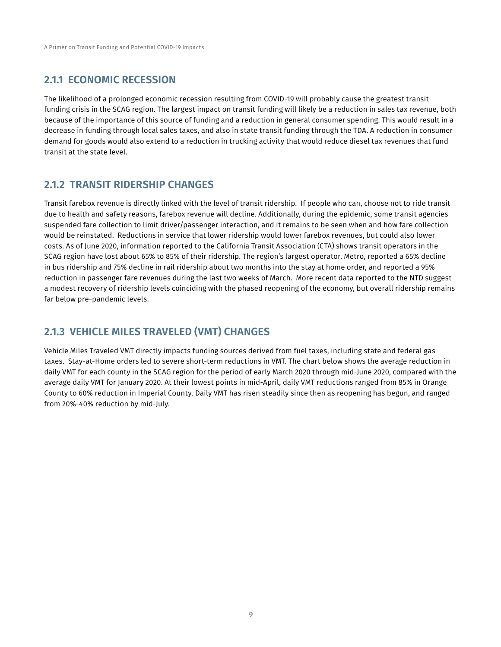#### **2.1.1 ECONOMIC RECESSION**

The likelihood of a prolonged economic recession resulting from COVID-19 will probably cause the greatest transit funding crisis in the SCAG region. The largest impact on transit funding will likely be a reduction in sales tax revenue, both because of the importance of this source of funding and a reduction in general consumer spending. This would result in a decrease in funding through local sales taxes, and also in state transit funding through the TDA. A reduction in consumer demand for goods would also extend to a reduction in trucking activity that would reduce diesel tax revenues that fund transit at the state level.

#### **2.1.2 TRANSIT RIDERSHIP CHANGES**

Transit farebox revenue is directly linked with the level of transit ridership. If people who can, choose not to ride transit due to health and safety reasons, farebox revenue will decline. Additionally, during the epidemic, some transit agencies suspended fare collection to limit driver/passenger interaction, and it remains to be seen when and how fare collection would be reinstated. Reductions in service that lower ridership would lower farebox revenues, but could also lower costs. As of June 2020, information reported to the California Transit Association (CTA) shows transit operators in the SCAG region have lost about 65% to 85% of their ridership. The region's largest operator, Metro, reported a 65% decline in bus ridership and 75% decline in rail ridership about two months into the stay at home order, and reported a 95% reduction in passenger fare revenues during the last two weeks of March. More recent data reported to the NTD suggest a modest recovery of ridership levels coinciding with the phased reopening of the economy, but overall ridership remains far below pre-pandemic levels.

#### **2.1.3 VEHICLE MILES TRAVELED (VMT) CHANGES**

Vehicle Miles Traveled VMT directly impacts funding sources derived from fuel taxes, including state and federal gas taxes. Stay-at-Home orders led to severe short-term reductions in VMT. The chart below shows the average reduction in daily VMT for each county in the SCAG region for the period of early March 2020 through mid-June 2020, compared with the average daily VMT for January 2020. At their lowest points in mid-April, daily VMT reductions ranged from 85% in Orange County to 60% reduction in Imperial County. Daily VMT has risen steadily since then as reopening has begun, and ranged from 20%-40% reduction by mid-July.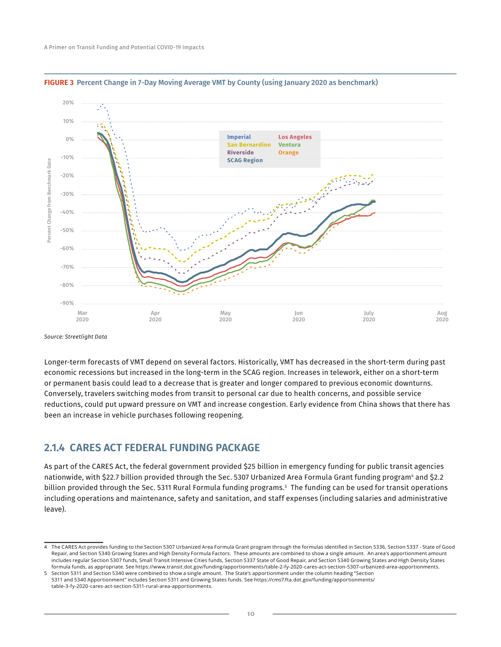



Longer-term forecasts of VMT depend on several factors. Historically, VMT has decreased in the short-term during past economic recessions but increased in the long-term in the SCAG region. Increases in telework, either on a short-term or permanent basis could lead to a decrease that is greater and longer compared to previous economic downturns. Conversely, travelers switching modes from transit to personal car due to health concerns, and possible service reductions, could put upward pressure on VMT and increase congestion. Early evidence from China shows that there has been an increase in vehicle purchases following reopening.

#### **2.1.4 CARES ACT FEDERAL FUNDING PACKAGE**

As part of the CARES Act, the federal government provided \$25 billion in emergency funding for public transit agencies nationwide, with \$22.7 billion provided through the Sec. 5307 Urbanized Area Formula Grant funding program<del>'</del> and \$2.2 billion provided through the Sec. 5311 Rural Formula funding programs.5 The funding can be used for transit operations including operations and maintenance, safety and sanitation, and staff expenses (including salaries and administrative leave).

*Source: Streetlight Data*

<sup>4</sup> The CARES Act provides funding to the Section 5307 Urbanized Area Formula Grant program through the formulas identified in Section 5336, Section 5337 - State of Good Repair, and Section 5340 Growing States and High Density Formula Factors. These amounts are combined to show a single amount. An area's apportionment amount includes regular Section 5307 funds, Small Transit Intensive Cities funds, Section 5337 State of Good Repair, and Section 5340 Growing States and High Density States formula funds, as appropriate. See https://www.transit.dot.gov/funding/apportionments/table-2-fy-2020-cares-act-section-5307-urbanized-area-apportionments.

<sup>5</sup> Section 5311 and Section 5340 were combined to show a single amount. The State's apportionment under the column heading "Section 5311 and 5340 Apportionment" includes Section 5311 and Growing States funds. See https://cms7.fta.dot.gov/funding/apportionments/ table-3-fy-2020-cares-act-section-5311-rural-area-apportionments.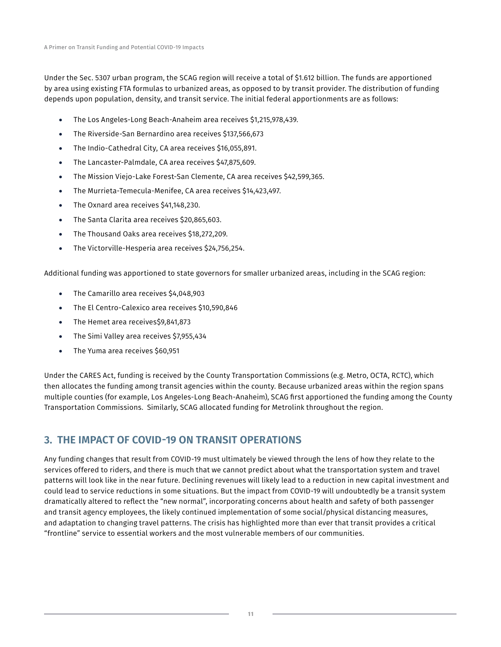Under the Sec. 5307 urban program, the SCAG region will receive a total of \$1.612 billion. The funds are apportioned by area using existing FTA formulas to urbanized areas, as opposed to by transit provider. The distribution of funding depends upon population, density, and transit service. The initial federal apportionments are as follows:

- The Los Angeles-Long Beach-Anaheim area receives \$1,215,978,439.
- The Riverside-San Bernardino area receives \$137,566,673
- The Indio-Cathedral City, CA area receives \$16,055,891.
- The Lancaster-Palmdale, CA area receives \$47,875,609.
- The Mission Viejo-Lake Forest-San Clemente, CA area receives \$42,599,365.
- The Murrieta-Temecula-Menifee, CA area receives \$14,423,497.
- The Oxnard area receives \$41,148,230.
- The Santa Clarita area receives \$20,865,603.
- The Thousand Oaks area receives \$18,272,209.
- The Victorville-Hesperia area receives \$24,756,254.

Additional funding was apportioned to state governors for smaller urbanized areas, including in the SCAG region:

- The Camarillo area receives \$4,048,903
- The El Centro-Calexico area receives \$10,590,846
- The Hemet area receives\$9,841,873
- The Simi Valley area receives \$7,955,434
- The Yuma area receives \$60,951

Under the CARES Act, funding is received by the County Transportation Commissions (e.g. Metro, OCTA, RCTC), which then allocates the funding among transit agencies within the county. Because urbanized areas within the region spans multiple counties (for example, Los Angeles-Long Beach-Anaheim), SCAG first apportioned the funding among the County Transportation Commissions. Similarly, SCAG allocated funding for Metrolink throughout the region.

#### **3. THE IMPACT OF COVID-19 ON TRANSIT OPERATIONS**

Any funding changes that result from COVID-19 must ultimately be viewed through the lens of how they relate to the services offered to riders, and there is much that we cannot predict about what the transportation system and travel patterns will look like in the near future. Declining revenues will likely lead to a reduction in new capital investment and could lead to service reductions in some situations. But the impact from COVID-19 will undoubtedly be a transit system dramatically altered to reflect the "new normal", incorporating concerns about health and safety of both passenger and transit agency employees, the likely continued implementation of some social/physical distancing measures, and adaptation to changing travel patterns. The crisis has highlighted more than ever that transit provides a critical "frontline" service to essential workers and the most vulnerable members of our communities.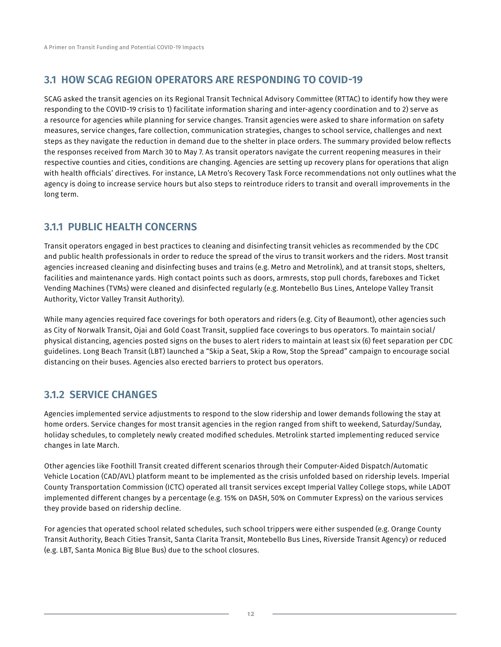#### **3.1 HOW SCAG REGION OPERATORS ARE RESPONDING TO COVID-19**

SCAG asked the transit agencies on its Regional Transit Technical Advisory Committee (RTTAC) to identify how they were responding to the COVID-19 crisis to 1) facilitate information sharing and inter-agency coordination and to 2) serve as a resource for agencies while planning for service changes. Transit agencies were asked to share information on safety measures, service changes, fare collection, communication strategies, changes to school service, challenges and next steps as they navigate the reduction in demand due to the shelter in place orders. The summary provided below reflects the responses received from March 30 to May 7. As transit operators navigate the current reopening measures in their respective counties and cities, conditions are changing. Agencies are setting up recovery plans for operations that align with health officials' directives. For instance, LA Metro's Recovery Task Force recommendations not only outlines what the agency is doing to increase service hours but also steps to reintroduce riders to transit and overall improvements in the long term.

#### **3.1.1 PUBLIC HEALTH CONCERNS**

Transit operators engaged in best practices to cleaning and disinfecting transit vehicles as recommended by the CDC and public health professionals in order to reduce the spread of the virus to transit workers and the riders. Most transit agencies increased cleaning and disinfecting buses and trains (e.g. Metro and Metrolink), and at transit stops, shelters, facilities and maintenance yards. High contact points such as doors, armrests, stop pull chords, fareboxes and Ticket Vending Machines (TVMs) were cleaned and disinfected regularly (e.g. Montebello Bus Lines, Antelope Valley Transit Authority, Victor Valley Transit Authority).

While many agencies required face coverings for both operators and riders (e.g. City of Beaumont), other agencies such as City of Norwalk Transit, Ojai and Gold Coast Transit, supplied face coverings to bus operators. To maintain social/ physical distancing, agencies posted signs on the buses to alert riders to maintain at least six (6) feet separation per CDC guidelines. Long Beach Transit (LBT) launched a "Skip a Seat, Skip a Row, Stop the Spread" campaign to encourage social distancing on their buses. Agencies also erected barriers to protect bus operators.

#### **3.1.2 SERVICE CHANGES**

Agencies implemented service adjustments to respond to the slow ridership and lower demands following the stay at home orders. Service changes for most transit agencies in the region ranged from shift to weekend, Saturday/Sunday, holiday schedules, to completely newly created modified schedules. Metrolink started implementing reduced service changes in late March.

Other agencies like Foothill Transit created different scenarios through their Computer-Aided Dispatch/Automatic Vehicle Location (CAD/AVL) platform meant to be implemented as the crisis unfolded based on ridership levels. Imperial County Transportation Commission (ICTC) operated all transit services except Imperial Valley College stops, while LADOT implemented different changes by a percentage (e.g. 15% on DASH, 50% on Commuter Express) on the various services they provide based on ridership decline.

For agencies that operated school related schedules, such school trippers were either suspended (e.g. Orange County Transit Authority, Beach Cities Transit, Santa Clarita Transit, Montebello Bus Lines, Riverside Transit Agency) or reduced (e.g. LBT, Santa Monica Big Blue Bus) due to the school closures.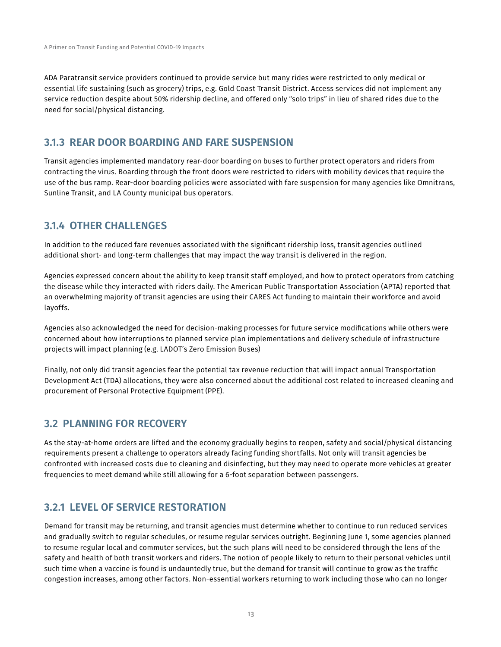ADA Paratransit service providers continued to provide service but many rides were restricted to only medical or essential life sustaining (such as grocery) trips, e.g. Gold Coast Transit District. Access services did not implement any service reduction despite about 50% ridership decline, and offered only "solo trips" in lieu of shared rides due to the need for social/physical distancing.

#### **3.1.3 REAR DOOR BOARDING AND FARE SUSPENSION**

Transit agencies implemented mandatory rear-door boarding on buses to further protect operators and riders from contracting the virus. Boarding through the front doors were restricted to riders with mobility devices that require the use of the bus ramp. Rear-door boarding policies were associated with fare suspension for many agencies like Omnitrans, Sunline Transit, and LA County municipal bus operators.

#### **3.1.4 OTHER CHALLENGES**

In addition to the reduced fare revenues associated with the significant ridership loss, transit agencies outlined additional short- and long-term challenges that may impact the way transit is delivered in the region.

Agencies expressed concern about the ability to keep transit staff employed, and how to protect operators from catching the disease while they interacted with riders daily. The American Public Transportation Association (APTA) reported that an overwhelming majority of transit agencies are using their CARES Act funding to maintain their workforce and avoid layoffs.

Agencies also acknowledged the need for decision-making processes for future service modifications while others were concerned about how interruptions to planned service plan implementations and delivery schedule of infrastructure projects will impact planning (e.g. LADOT's Zero Emission Buses)

Finally, not only did transit agencies fear the potential tax revenue reduction that will impact annual Transportation Development Act (TDA) allocations, they were also concerned about the additional cost related to increased cleaning and procurement of Personal Protective Equipment (PPE).

#### **3.2 PLANNING FOR RECOVERY**

As the stay-at-home orders are lifted and the economy gradually begins to reopen, safety and social/physical distancing requirements present a challenge to operators already facing funding shortfalls. Not only will transit agencies be confronted with increased costs due to cleaning and disinfecting, but they may need to operate more vehicles at greater frequencies to meet demand while still allowing for a 6-foot separation between passengers.

#### **3.2.1 LEVEL OF SERVICE RESTORATION**

Demand for transit may be returning, and transit agencies must determine whether to continue to run reduced services and gradually switch to regular schedules, or resume regular services outright. Beginning June 1, some agencies planned to resume regular local and commuter services, but the such plans will need to be considered through the lens of the safety and health of both transit workers and riders. The notion of people likely to return to their personal vehicles until such time when a vaccine is found is undauntedly true, but the demand for transit will continue to grow as the traffic congestion increases, among other factors. Non-essential workers returning to work including those who can no longer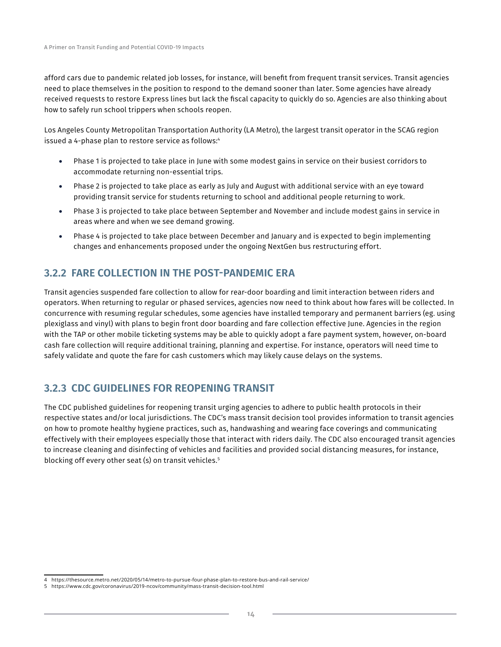afford cars due to pandemic related job losses, for instance, will benefit from frequent transit services. Transit agencies need to place themselves in the position to respond to the demand sooner than later. Some agencies have already received requests to restore Express lines but lack the fiscal capacity to quickly do so. Agencies are also thinking about how to safely run school trippers when schools reopen.

Los Angeles County Metropolitan Transportation Authority (LA Metro), the largest transit operator in the SCAG region issued a 4-phase plan to restore service as follows:4

- Phase 1 is projected to take place in June with some modest gains in service on their busiest corridors to accommodate returning non-essential trips.
- Phase 2 is projected to take place as early as July and August with additional service with an eye toward providing transit service for students returning to school and additional people returning to work.
- Phase 3 is projected to take place between September and November and include modest gains in service in areas where and when we see demand growing.
- Phase 4 is projected to take place between December and January and is expected to begin implementing changes and enhancements proposed under the ongoing NextGen bus restructuring effort.

#### **3.2.2 FARE COLLECTION IN THE POST-PANDEMIC ERA**

Transit agencies suspended fare collection to allow for rear-door boarding and limit interaction between riders and operators. When returning to regular or phased services, agencies now need to think about how fares will be collected. In concurrence with resuming regular schedules, some agencies have installed temporary and permanent barriers (eg. using plexiglass and vinyl) with plans to begin front door boarding and fare collection effective June. Agencies in the region with the TAP or other mobile ticketing systems may be able to quickly adopt a fare payment system, however, on-board cash fare collection will require additional training, planning and expertise. For instance, operators will need time to safely validate and quote the fare for cash customers which may likely cause delays on the systems.

#### **3.2.3 CDC GUIDELINES FOR REOPENING TRANSIT**

The CDC published guidelines for reopening transit urging agencies to adhere to public health protocols in their respective states and/or local jurisdictions. The CDC's mass transit decision tool provides information to transit agencies on how to promote healthy hygiene practices, such as, handwashing and wearing face coverings and communicating effectively with their employees especially those that interact with riders daily. The CDC also encouraged transit agencies to increase cleaning and disinfecting of vehicles and facilities and provided social distancing measures, for instance, blocking off every other seat (s) on transit vehicles.<sup>5</sup>

<sup>4</sup> https://thesource.metro.net/2020/05/14/metro-to-pursue-four-phase-plan-to-restore-bus-and-rail-service/

<sup>5</sup> https://www.cdc.gov/coronavirus/2019-ncov/community/mass-transit-decision-tool.html